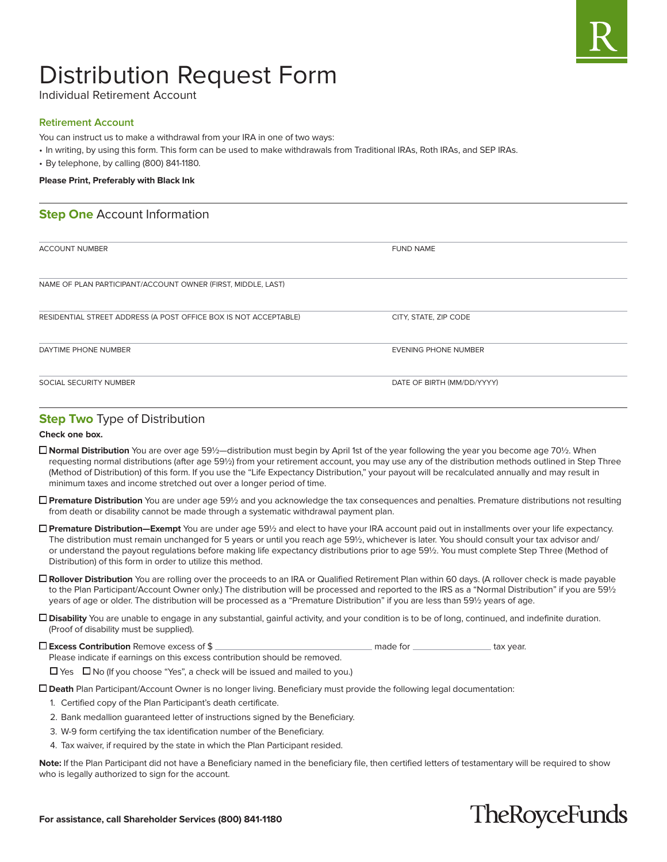

# Distribution Request Form

Individual Retirement Account

#### **Retirement Account**

You can instruct us to make a withdrawal from your IRA in one of two ways:

- In writing, by using this form. This form can be used to make withdrawals from Traditional IRAs, Roth IRAs, and SEP IRAs.
- By telephone, by calling (800) 841-1180.

#### **Please Print, Preferably with Black Ink**

## **Step One** Account Information

| <b>ACCOUNT NUMBER</b>                                            | <b>FUND NAME</b>            |
|------------------------------------------------------------------|-----------------------------|
|                                                                  |                             |
|                                                                  |                             |
| NAME OF PLAN PARTICIPANT/ACCOUNT OWNER (FIRST, MIDDLE, LAST)     |                             |
|                                                                  |                             |
|                                                                  |                             |
| RESIDENTIAL STREET ADDRESS (A POST OFFICE BOX IS NOT ACCEPTABLE) | CITY, STATE, ZIP CODE       |
|                                                                  |                             |
| DAYTIME PHONE NUMBER                                             | <b>EVENING PHONE NUMBER</b> |
|                                                                  |                             |
|                                                                  |                             |
| SOCIAL SECURITY NUMBER                                           | DATE OF BIRTH (MM/DD/YYYY)  |
|                                                                  |                             |

### **Step Two Type of Distribution**

#### **Check one box.**

- **Normal Distribution** You are over age 59½—distribution must begin by April 1st of the year following the year you become age 70½. When requesting normal distributions (after age 59½) from your retirement account, you may use any of the distribution methods outlined in Step Three (Method of Distribution) of this form. If you use the "Life Expectancy Distribution," your payout will be recalculated annually and may result in minimum taxes and income stretched out over a longer period of time.
- **Premature Distribution** You are under age 59½ and you acknowledge the tax consequences and penalties. Premature distributions not resulting from death or disability cannot be made through a systematic withdrawal payment plan.
- **Premature Distribution—Exempt** You are under age 59½ and elect to have your IRA account paid out in installments over your life expectancy. The distribution must remain unchanged for 5 years or until you reach age 59½, whichever is later. You should consult your tax advisor and/ or understand the payout regulations before making life expectancy distributions prior to age 59½. You must complete Step Three (Method of Distribution) of this form in order to utilize this method.
- **Rollover Distribution** You are rolling over the proceeds to an IRA or Qualified Retirement Plan within 60 days. (A rollover check is made payable to the Plan Participant/Account Owner only.) The distribution will be processed and reported to the IRS as a "Normal Distribution" if you are 591/2 years of age or older. The distribution will be processed as a "Premature Distribution" if you are less than 59½ years of age.
- **Disability** You are unable to engage in any substantial, gainful activity, and your condition is to be of long, continued, and indefinite duration. (Proof of disability must be supplied).

**Excess Contribution** Remove excess of \$

Please indicate if earnings on this excess contribution should be removed.

 $\Box$  Yes  $\Box$  No (If you choose "Yes", a check will be issued and mailed to you.)

**Death** Plan Participant/Account Owner is no longer living. Beneficiary must provide the following legal documentation:

- 1. Certified copy of the Plan Participant's death certificate.
- 2. Bank medallion guaranteed letter of instructions signed by the Beneficiary.
- 3. W-9 form certifying the tax identification number of the Beneficiary.
- 4. Tax waiver, if required by the state in which the Plan Participant resided.

**Note:** If the Plan Participant did not have a Beneficiary named in the beneficiary file, then certified letters of testamentary will be required to show who is legally authorized to sign for the account.